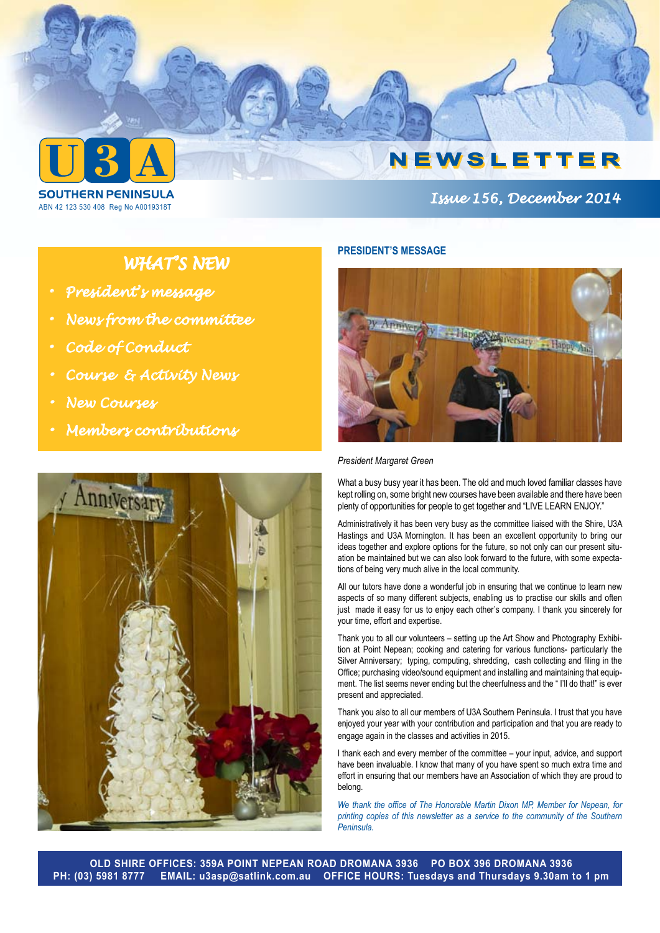

ABN 42 123 530 408 Reg No A0019318T

# *Issue 156, December 2014*

# *WHAT'S NEW*

- *• President's message*
- *• News from the committee*
- *• Code of Conduct*
- *• Course & Activity News*
- *• New Courses*
- *• Members contributions*



# **PRESIDENT'S MESSAGE**



#### *President Margaret Green*

What a busy busy year it has been. The old and much loved familiar classes have kept rolling on, some bright new courses have been available and there have been plenty of opportunities for people to get together and "LIVE LEARN ENJOY."

Administratively it has been very busy as the committee liaised with the Shire, U3A Hastings and U3A Mornington. It has been an excellent opportunity to bring our ideas together and explore options for the future, so not only can our present situation be maintained but we can also look forward to the future, with some expectations of being very much alive in the local community.

All our tutors have done a wonderful job in ensuring that we continue to learn new aspects of so many different subjects, enabling us to practise our skills and often just made it easy for us to enjoy each other's company. I thank you sincerely for your time, effort and expertise.

Thank you to all our volunteers – setting up the Art Show and Photography Exhibition at Point Nepean; cooking and catering for various functions- particularly the Silver Anniversary; typing, computing, shredding, cash collecting and filing in the Office; purchasing video/sound equipment and installing and maintaining that equipment. The list seems never ending but the cheerfulness and the " I'll do that!" is ever present and appreciated.

Thank you also to all our members of U3A Southern Peninsula. I trust that you have enjoyed your year with your contribution and participation and that you are ready to engage again in the classes and activities in 2015.

I thank each and every member of the committee – your input, advice, and support have been invaluable. I know that many of you have spent so much extra time and effort in ensuring that our members have an Association of which they are proud to belong.

*We thank the office of The Honorable Martin Dixon MP, Member for Nepean, for printing copies of this newsletter as a service to the community of the Southern Peninsula.*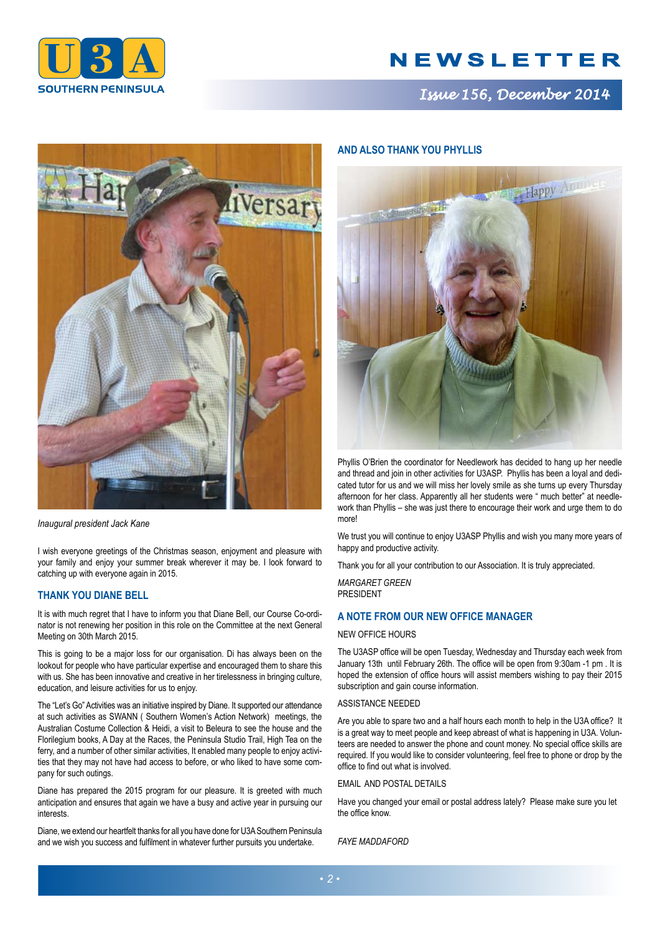

*Issue 156, December 2014*



*Inaugural president Jack Kane*

I wish everyone greetings of the Christmas season, enjoyment and pleasure with your family and enjoy your summer break wherever it may be. I look forward to catching up with everyone again in 2015.

## **THANK YOU DIANE BELL**

It is with much regret that I have to inform you that Diane Bell, our Course Co-ordinator is not renewing her position in this role on the Committee at the next General Meeting on 30th March 2015.

This is going to be a major loss for our organisation. Di has always been on the lookout for people who have particular expertise and encouraged them to share this with us. She has been innovative and creative in her tirelessness in bringing culture, education, and leisure activities for us to enjoy.

The "Let's Go" Activities was an initiative inspired by Diane. It supported our attendance at such activities as SWANN ( Southern Women's Action Network) meetings, the Australian Costume Collection & Heidi, a visit to Beleura to see the house and the Florilegium books, A Day at the Races, the Peninsula Studio Trail, High Tea on the ferry, and a number of other similar activities, It enabled many people to enjoy activities that they may not have had access to before, or who liked to have some company for such outings.

Diane has prepared the 2015 program for our pleasure. It is greeted with much anticipation and ensures that again we have a busy and active year in pursuing our interests.

Diane, we extend our heartfelt thanks for all you have done for U3A Southern Peninsula and we wish you success and fulfilment in whatever further pursuits you undertake.

## **AND ALSO THANK YOU PHYLLIS**



Phyllis O'Brien the coordinator for Needlework has decided to hang up her needle and thread and join in other activities for U3ASP. Phyllis has been a loyal and dedicated tutor for us and we will miss her lovely smile as she turns up every Thursday afternoon for her class. Apparently all her students were " much better" at needlework than Phyllis – she was just there to encourage their work and urge them to do more!

We trust you will continue to enjoy U3ASP Phyllis and wish you many more years of happy and productive activity.

Thank you for all your contribution to our Association. It is truly appreciated.

*MARGARET GREEN* PRESIDENT

# **A NOTE FROM OUR NEW OFFICE MANAGER**

#### NEW OFFICE HOURS

The U3ASP office will be open Tuesday, Wednesday and Thursday each week from January 13th until February 26th. The office will be open from 9:30am -1 pm . It is hoped the extension of office hours will assist members wishing to pay their 2015 subscription and gain course information.

#### ASSISTANCE NEEDED

Are you able to spare two and a half hours each month to help in the U3A office? It is a great way to meet people and keep abreast of what is happening in U3A. Volunteers are needed to answer the phone and count money. No special office skills are required. If you would like to consider volunteering, feel free to phone or drop by the office to find out what is involved.

### EMAIL AND POSTAL DETAILS

Have you changed your email or postal address lately? Please make sure you let the office know.

*FAYE MADDAFORD*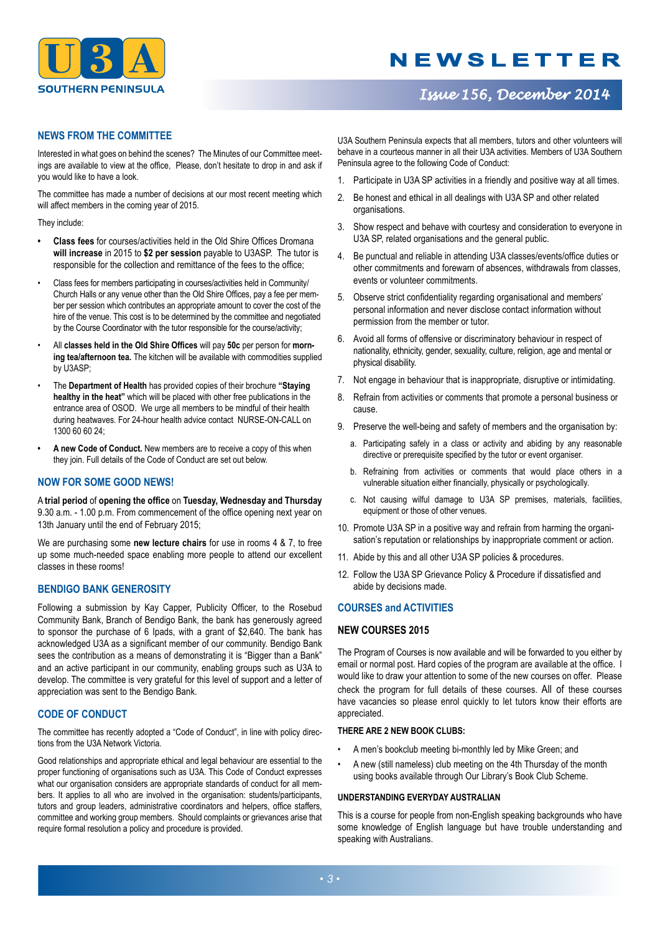

# *Issue 156, December 2014*

# **NEWS FROM THE COMMITTEE**

Interested in what goes on behind the scenes? The Minutes of our Committee meetings are available to view at the office, Please, don't hesitate to drop in and ask if you would like to have a look.

The committee has made a number of decisions at our most recent meeting which will affect members in the coming year of 2015.

They include:

- **• Class fees** for courses/activities held in the Old Shire Offices Dromana **will increase** in 2015 to **\$2 per session** payable to U3ASP. The tutor is responsible for the collection and remittance of the fees to the office;
- Class fees for members participating in courses/activities held in Community/ Church Halls or any venue other than the Old Shire Offices, pay a fee per member per session which contributes an appropriate amount to cover the cost of the hire of the venue. This cost is to be determined by the committee and negotiated by the Course Coordinator with the tutor responsible for the course/activity;
- All **classes held in the Old Shire Offices** will pay **50c** per person for **morning tea/afternoon tea.** The kitchen will be available with commodities supplied by U3ASP;
- The **Department of Health** has provided copies of their brochure **"Staying healthy in the heat"** which will be placed with other free publications in the entrance area of OSOD. We urge all members to be mindful of their health during heatwaves. For 24-hour health advice contact NURSE-ON-CALL on 1300 60 60 24;
- A new Code of Conduct. New members are to receive a copy of this when they join. Full details of the Code of Conduct are set out below.

## **NOW FOR SOME GOOD NEWS!**

A **trial period** of **opening the office** on **Tuesday, Wednesday and Thursday** 9.30 a.m. - 1.00 p.m. From commencement of the office opening next year on 13th January until the end of February 2015;

We are purchasing some **new lecture chairs** for use in rooms 4 & 7, to free up some much-needed space enabling more people to attend our excellent classes in these rooms!

## **BENDIGO BANK GENEROSITY**

Following a submission by Kay Capper, Publicity Officer, to the Rosebud Community Bank, Branch of Bendigo Bank, the bank has generously agreed to sponsor the purchase of 6 Ipads, with a grant of \$2,640. The bank has acknowledged U3A as a significant member of our community. Bendigo Bank sees the contribution as a means of demonstrating it is "Bigger than a Bank" and an active participant in our community, enabling groups such as U3A to develop. The committee is very grateful for this level of support and a letter of appreciation was sent to the Bendigo Bank.

## **CODE OF CONDUCT**

The committee has recently adopted a "Code of Conduct", in line with policy directions from the U3A Network Victoria.

Good relationships and appropriate ethical and legal behaviour are essential to the proper functioning of organisations such as U3A. This Code of Conduct expresses what our organisation considers are appropriate standards of conduct for all members. It applies to all who are involved in the organisation: students/participants, tutors and group leaders, administrative coordinators and helpers, office staffers, committee and working group members. Should complaints or grievances arise that require formal resolution a policy and procedure is provided.

U3A Southern Peninsula expects that all members, tutors and other volunteers will behave in a courteous manner in all their U3A activities. Members of U3A Southern Peninsula agree to the following Code of Conduct:

- 1. Participate in U3A SP activities in a friendly and positive way at all times.
- 2. Be honest and ethical in all dealings with U3A SP and other related organisations.
- 3. Show respect and behave with courtesy and consideration to everyone in U3A SP, related organisations and the general public.
- 4. Be punctual and reliable in attending U3A classes/events/office duties or other commitments and forewarn of absences, withdrawals from classes, events or volunteer commitments.
- 5. Observe strict confidentiality regarding organisational and members' personal information and never disclose contact information without permission from the member or tutor.
- 6. Avoid all forms of offensive or discriminatory behaviour in respect of nationality, ethnicity, gender, sexuality, culture, religion, age and mental or physical disability.
- 7. Not engage in behaviour that is inappropriate, disruptive or intimidating.
- 8. Refrain from activities or comments that promote a personal business or cause.
- 9. Preserve the well-being and safety of members and the organisation by:
	- a. Participating safely in a class or activity and abiding by any reasonable directive or prerequisite specified by the tutor or event organiser.
	- b. Refraining from activities or comments that would place others in a vulnerable situation either financially, physically or psychologically.
	- c. Not causing wilful damage to U3A SP premises, materials, facilities, equipment or those of other venues.
- 10. Promote U3A SP in a positive way and refrain from harming the organisation's reputation or relationships by inappropriate comment or action.
- 11. Abide by this and all other U3A SP policies & procedures.
- 12. Follow the U3A SP Grievance Policy & Procedure if dissatisfied and abide by decisions made.

## **COURSES and ACTIVITIES**

## **NEW COURSES 2015**

The Program of Courses is now available and will be forwarded to you either by email or normal post. Hard copies of the program are available at the office. I would like to draw your attention to some of the new courses on offer. Please check the program for full details of these courses. All of these courses have vacancies so please enrol quickly to let tutors know their efforts are appreciated.

### **THERE ARE 2 NEW BOOK CLUBS:**

- A men's bookclub meeting bi-monthly led by Mike Green; and
- A new (still nameless) club meeting on the 4th Thursday of the month using books available through Our Library's Book Club Scheme.

### **UNDERSTANDING EVERYDAY AUSTRALIAN**

This is a course for people from non-English speaking backgrounds who have some knowledge of English language but have trouble understanding and speaking with Australians.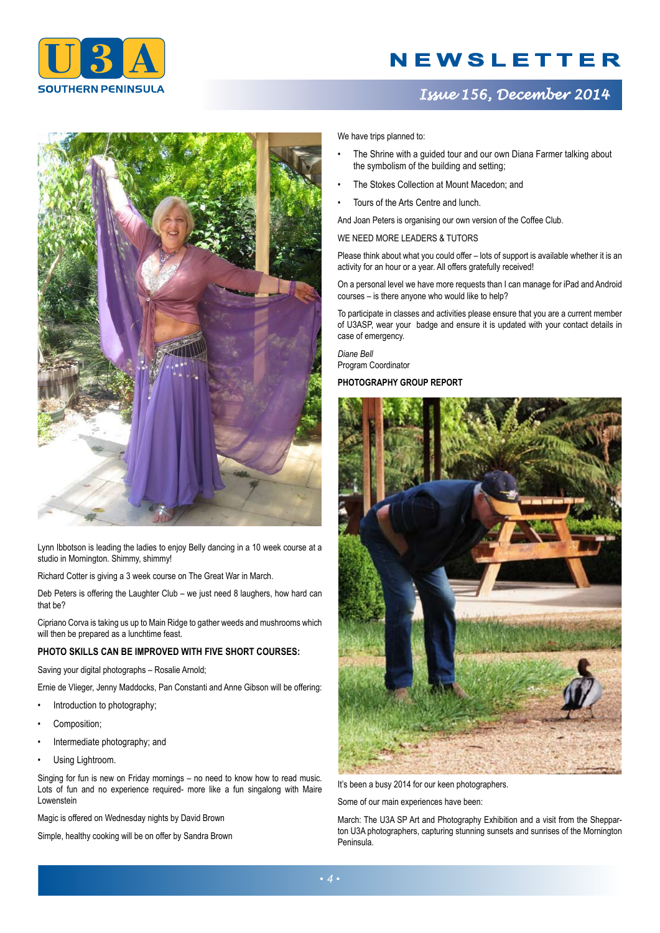

# *Issue 156, December 2014*



Lynn Ibbotson is leading the ladies to enjoy Belly dancing in a 10 week course at a studio in Mornington. Shimmy, shimmy!

Richard Cotter is giving a 3 week course on The Great War in March.

Deb Peters is offering the Laughter Club – we just need 8 laughers, how hard can that be?

Cipriano Corva is taking us up to Main Ridge to gather weeds and mushrooms which will then be prepared as a lunchtime feast.

## **PHOTO SKILLS CAN BE IMPROVED WITH FIVE SHORT COURSES:**

Saving your digital photographs – Rosalie Arnold;

Ernie de Vlieger, Jenny Maddocks, Pan Constanti and Anne Gibson will be offering:

- Introduction to photography;
- Composition;
- Intermediate photography; and
- Using Lightroom.

Singing for fun is new on Friday mornings – no need to know how to read music. Lots of fun and no experience required- more like a fun singalong with Maire Lowenstein

Magic is offered on Wednesday nights by David Brown

Simple, healthy cooking will be on offer by Sandra Brown

We have trips planned to:

- The Shrine with a guided tour and our own Diana Farmer talking about the symbolism of the building and setting;
- The Stokes Collection at Mount Macedon; and
- Tours of the Arts Centre and lunch.

And Joan Peters is organising our own version of the Coffee Club.

#### WE NEED MORE LEADERS & TUTORS

Please think about what you could offer – lots of support is available whether it is an activity for an hour or a year. All offers gratefully received!

On a personal level we have more requests than I can manage for iPad and Android courses – is there anyone who would like to help?

To participate in classes and activities please ensure that you are a current member of U3ASP, wear your badge and ensure it is updated with your contact details in case of emergency.

*Diane Bell* Program Coordinator

### **PHOTOGRAPHY GROUP REPORT**



It's been a busy 2014 for our keen photographers.

Some of our main experiences have been:

March: The U3A SP Art and Photography Exhibition and a visit from the Shepparton U3A photographers, capturing stunning sunsets and sunrises of the Mornington Peninsula.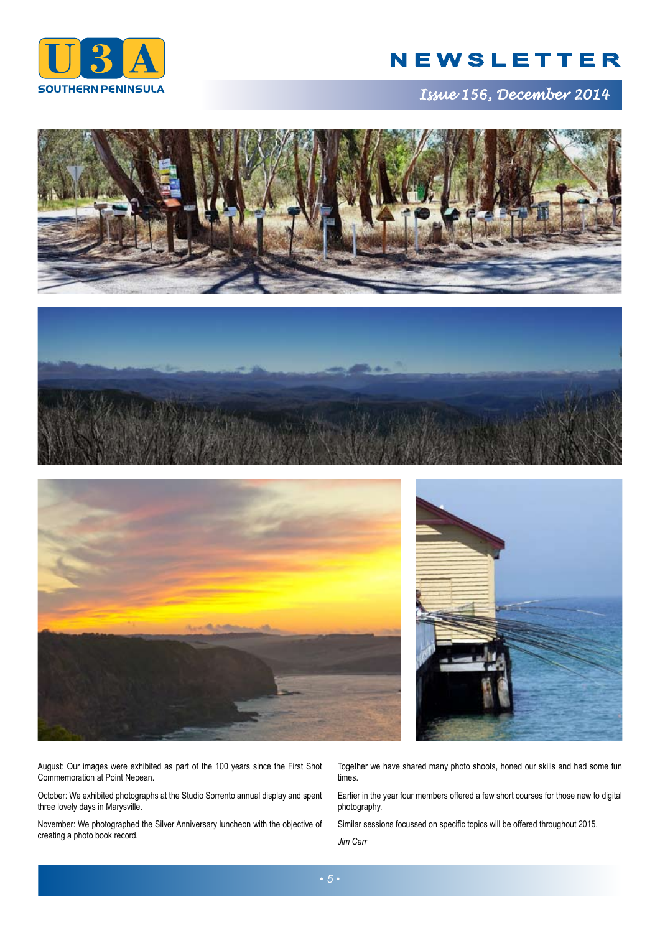

*Issue 156, December 2014*









August: Our images were exhibited as part of the 100 years since the First Shot Commemoration at Point Nepean.

October: We exhibited photographs at the Studio Sorrento annual display and spent three lovely days in Marysville.

November: We photographed the Silver Anniversary luncheon with the objective of creating a photo book record.

Together we have shared many photo shoots, honed our skills and had some fun times.

Earlier in the year four members offered a few short courses for those new to digital photography.

Similar sessions focussed on specific topics will be offered throughout 2015.

*Jim Carr*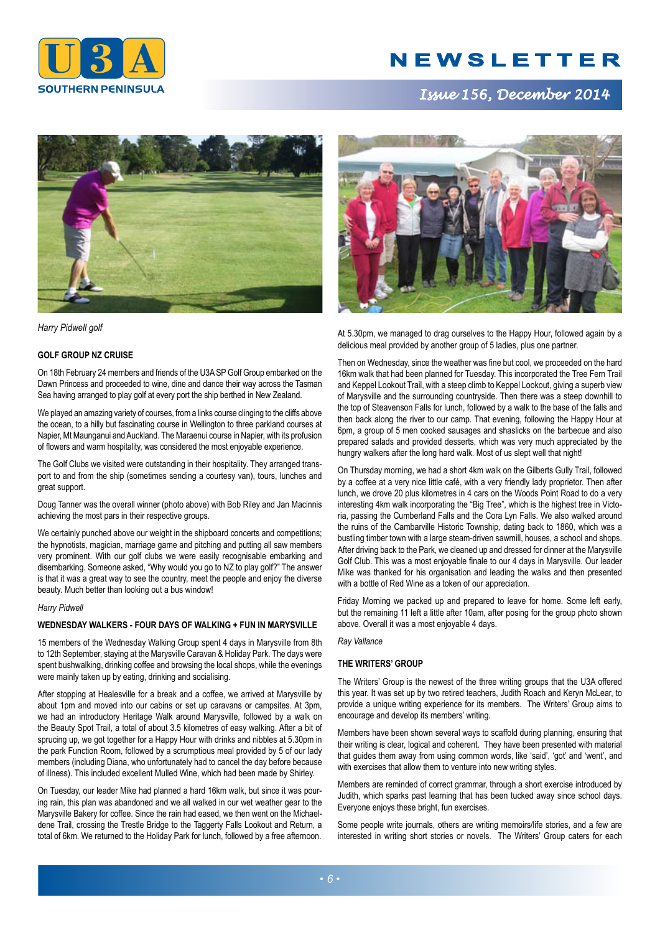

# *Issue 156, December 2014*



*Harry Pidwell golf* 

### **GOLF GROUP NZ CRUISE**

On 18th February 24 members and friends of the U3A SP Golf Group embarked on the Dawn Princess and proceeded to wine, dine and dance their way across the Tasman Sea having arranged to play golf at every port the ship berthed in New Zealand.

We played an amazing variety of courses, from a links course clinging to the cliffs above the ocean, to a hilly but fascinating course in Wellington to three parkland courses at Napier, Mt Maunganui and Auckland. The Maraenui course in Napier, with its profusion of flowers and warm hospitality, was considered the most enjoyable experience.

The Golf Clubs we visited were outstanding in their hospitality. They arranged transport to and from the ship (sometimes sending a courtesy van), tours, lunches and great support.

Doug Tanner was the overall winner (photo above) with Bob Riley and Jan Macinnis achieving the most pars in their respective groups.

We certainly punched above our weight in the shipboard concerts and competitions; the hypnotists, magician, marriage game and pitching and putting all saw members very prominent. With our golf clubs we were easily recognisable embarking and disembarking. Someone asked, "Why would you go to NZ to play golf?" The answer is that it was a great way to see the country, meet the people and enjoy the diverse beauty. Much better than looking out a bus window!

#### *Harry Pidwell*

### **WEDNESDAY WALKERS - FOUR DAYS OF WALKING + FUN IN MARYSVILLE**

15 members of the Wednesday Walking Group spent 4 days in Marysville from 8th to 12th September, staying at the Marysville Caravan & Holiday Park. The days were spent bushwalking, drinking coffee and browsing the local shops, while the evenings were mainly taken up by eating, drinking and socialising.

After stopping at Healesville for a break and a coffee, we arrived at Marysville by about 1pm and moved into our cabins or set up caravans or campsites. At 3pm, we had an introductory Heritage Walk around Marysville, followed by a walk on the Beauty Spot Trail, a total of about 3.5 kilometres of easy walking. After a bit of sprucing up, we got together for a Happy Hour with drinks and nibbles at 5.30pm in the park Function Room, followed by a scrumptious meal provided by 5 of our lady members (including Diana, who unfortunately had to cancel the day before because of illness). This included excellent Mulled Wine, which had been made by Shirley.

On Tuesday, our leader Mike had planned a hard 16km walk, but since it was pouring rain, this plan was abandoned and we all walked in our wet weather gear to the Marysville Bakery for coffee. Since the rain had eased, we then went on the Michaeldene Trail, crossing the Trestle Bridge to the Taggerty Falls Lookout and Return, a total of 6km. We returned to the Holiday Park for lunch, followed by a free afternoon.



At 5.30pm, we managed to drag ourselves to the Happy Hour, followed again by a delicious meal provided by another group of 5 ladies, plus one partner.

Then on Wednesday, since the weather was fine but cool, we proceeded on the hard 16km walk that had been planned for Tuesday. This incorporated the Tree Fern Trail and Keppel Lookout Trail, with a steep climb to Keppel Lookout, giving a superb view of Marysville and the surrounding countryside. Then there was a steep downhill to the top of Steavenson Falls for lunch, followed by a walk to the base of the falls and then back along the river to our camp. That evening, following the Happy Hour at 6pm, a group of 5 men cooked sausages and shaslicks on the barbecue and also prepared salads and provided desserts, which was very much appreciated by the hungry walkers after the long hard walk. Most of us slept well that night!

On Thursday morning, we had a short 4km walk on the Gilberts Gully Trail, followed by a coffee at a very nice little café, with a very friendly lady proprietor. Then after lunch, we drove 20 plus kilometres in 4 cars on the Woods Point Road to do a very interesting 4km walk incorporating the "Big Tree", which is the highest tree in Victoria, passing the Cumberland Falls and the Cora Lyn Falls. We also walked around the ruins of the Cambarville Historic Township, dating back to 1860, which was a bustling timber town with a large steam-driven sawmill, houses, a school and shops. After driving back to the Park, we cleaned up and dressed for dinner at the Marysville Golf Club. This was a most enjoyable finale to our 4 days in Marysville. Our leader Mike was thanked for his organisation and leading the walks and then presented with a bottle of Red Wine as a token of our appreciation.

Friday Morning we packed up and prepared to leave for home. Some left early, but the remaining 11 left a little after 10am, after posing for the group photo shown above. Overall it was a most enjoyable 4 days.

*Ray Vallance*

### **THE WRITERS' GROUP**

The Writers' Group is the newest of the three writing groups that the U3A offered this year. It was set up by two retired teachers, Judith Roach and Keryn McLear, to provide a unique writing experience for its members. The Writers' Group aims to encourage and develop its members' writing.

Members have been shown several ways to scaffold during planning, ensuring that their writing is clear, logical and coherent. They have been presented with material that guides them away from using common words, like 'said', 'got' and 'went', and with exercises that allow them to venture into new writing styles.

Members are reminded of correct grammar, through a short exercise introduced by Judith, which sparks past learning that has been tucked away since school days. Everyone enjoys these bright, fun exercises.

Some people write journals, others are writing memoirs/life stories, and a few are interested in writing short stories or novels. The Writers' Group caters for each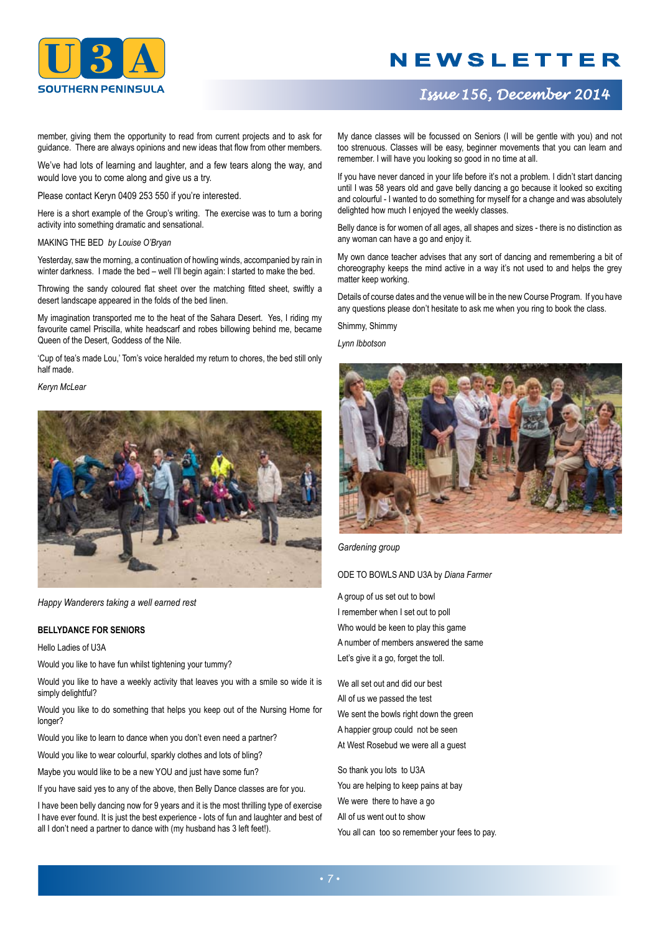

# *Issue 156, December 2014*

member, giving them the opportunity to read from current projects and to ask for guidance. There are always opinions and new ideas that flow from other members.

We've had lots of learning and laughter, and a few tears along the way, and would love you to come along and give us a try.

Please contact Keryn 0409 253 550 if you're interested.

Here is a short example of the Group's writing. The exercise was to turn a boring activity into something dramatic and sensational.

MAKING THE BED *by Louise O'Bryan*

Yesterday, saw the morning, a continuation of howling winds, accompanied by rain in winter darkness. I made the bed – well I'll begin again: I started to make the bed.

Throwing the sandy coloured flat sheet over the matching fitted sheet, swiftly a desert landscape appeared in the folds of the bed linen.

My imagination transported me to the heat of the Sahara Desert. Yes, I riding my favourite camel Priscilla, white headscarf and robes billowing behind me, became Queen of the Desert, Goddess of the Nile.

'Cup of tea's made Lou,' Tom's voice heralded my return to chores, the bed still only half made.

*Keryn McLear*



*Happy Wanderers taking a well earned rest*

### **BELLYDANCE FOR SENIORS**

Hello Ladies of U3A

Would you like to have fun whilst tightening your tummy?

Would you like to have a weekly activity that leaves you with a smile so wide it is simply delightful?

Would you like to do something that helps you keep out of the Nursing Home for longer?

Would you like to learn to dance when you don't even need a partner?

Would you like to wear colourful, sparkly clothes and lots of bling?

Maybe you would like to be a new YOU and just have some fun?

If you have said yes to any of the above, then Belly Dance classes are for you.

I have been belly dancing now for 9 years and it is the most thrilling type of exercise I have ever found. It is just the best experience - lots of fun and laughter and best of all I don't need a partner to dance with (my husband has 3 left feet!).

My dance classes will be focussed on Seniors (I will be gentle with you) and not too strenuous. Classes will be easy, beginner movements that you can learn and remember. I will have you looking so good in no time at all.

If you have never danced in your life before it's not a problem. I didn't start dancing until I was 58 years old and gave belly dancing a go because it looked so exciting and colourful - I wanted to do something for myself for a change and was absolutely delighted how much I enjoyed the weekly classes.

Belly dance is for women of all ages, all shapes and sizes - there is no distinction as any woman can have a go and enjoy it.

My own dance teacher advises that any sort of dancing and remembering a bit of choreography keeps the mind active in a way it's not used to and helps the grey matter keep working.

Details of course dates and the venue will be in the new Course Program. If you have any questions please don't hesitate to ask me when you ring to book the class.

Shimmy, Shimmy

*Lynn Ibbotson*



*Gardening group*

ODE TO BOWLS AND U3A by *Diana Farmer*

A group of us set out to bowl I remember when I set out to poll Who would be keen to play this game A number of members answered the same Let's give it a go, forget the toll.

We all set out and did our best All of us we passed the test We sent the bowls right down the green A happier group could not be seen At West Rosebud we were all a guest

So thank you lots to U3A You are helping to keep pains at bay We were there to have a go All of us went out to show You all can too so remember your fees to pay.